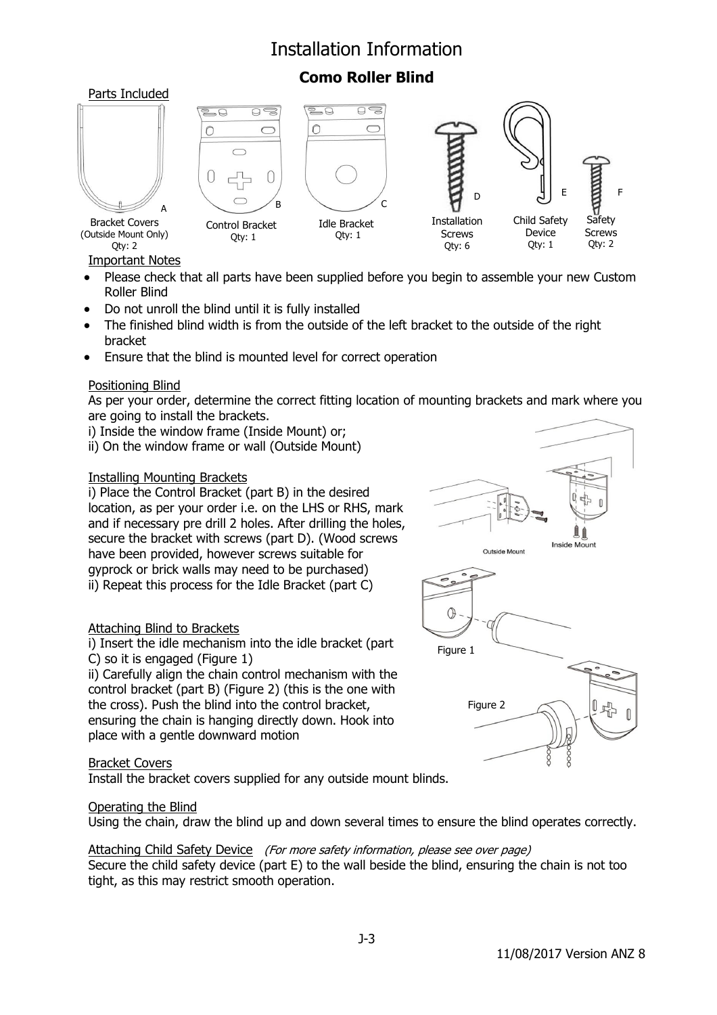# Installation Information

# **Como Roller Blind**







Qty: 1



Important Notes (Outside Mount Only) Qty: 2

Bracket Covers

- Please check that all parts have been supplied before you begin to assemble your new Custom Roller Blind
- Do not unroll the blind until it is fully installed
- The finished blind width is from the outside of the left bracket to the outside of the right bracket
- Ensure that the blind is mounted level for correct operation

# Positioning Blind

As per your order, determine the correct fitting location of mounting brackets and mark where you are going to install the brackets.

i) Inside the window frame (Inside Mount) or;

ii) On the window frame or wall (Outside Mount)

## Installing Mounting Brackets

i) Place the Control Bracket (part B) in the desired location, as per your order i.e. on the LHS or RHS, mark and if necessary pre drill 2 holes. After drilling the holes, secure the bracket with screws (part D). (Wood screws have been provided, however screws suitable for gyprock or brick walls may need to be purchased) ii) Repeat this process for the Idle Bracket (part C)

## Attaching Blind to Brackets

i) Insert the idle mechanism into the idle bracket (part C) so it is engaged (Figure 1)

ii) Carefully align the chain control mechanism with the control bracket (part B) (Figure 2) (this is the one with the cross). Push the blind into the control bracket, ensuring the chain is hanging directly down. Hook into place with a gentle downward motion

## Bracket Covers

Install the bracket covers supplied for any outside mount blinds.

## Operating the Blind

Using the chain, draw the blind up and down several times to ensure the blind operates correctly.

#### Attaching Child Safety Device (For more safety information, please see over page) Secure the child safety device (part E) to the wall beside the blind, ensuring the chain is not too tight, as this may restrict smooth operation.



F